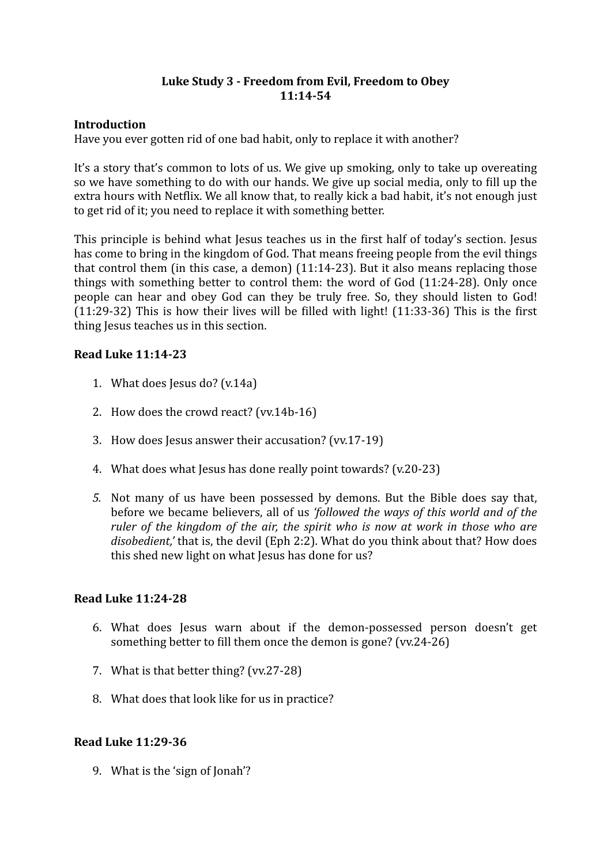## Luke Study 3 - Freedom from Evil, Freedom to Obey **11:14-54**

## **Introduction**

Have you ever gotten rid of one bad habit, only to replace it with another?

It's a story that's common to lots of us. We give up smoking, only to take up overeating so we have something to do with our hands. We give up social media, only to fill up the extra hours with Netflix. We all know that, to really kick a bad habit, it's not enough just to get rid of it; you need to replace it with something better.

This principle is behind what Jesus teaches us in the first half of today's section. Jesus has come to bring in the kingdom of God. That means freeing people from the evil things that control them (in this case, a demon)  $(11:14-23)$ . But it also means replacing those things with something better to control them: the word of  $God (11:24-28)$ . Only once people can hear and obey God can they be truly free. So, they should listen to God!  $(11:29-32)$  This is how their lives will be filled with light!  $(11:33-36)$  This is the first thing Jesus teaches us in this section.

# **Read Luke 11:14-23**

- 1. What does Jesus do?  $(v.14a)$
- 2. How does the crowd react?  $(vv.14b-16)$
- 3. How does Jesus answer their accusation? (vv.17-19)
- 4. What does what lesus has done really point towards? (v.20-23)
- 5. Not many of us have been possessed by demons. But the Bible does say that, before we became believers, all of us *'followed the ways of this world and of the ruler* of the kingdom of the air, the spirit who is now at work in those who are *disobedient*,' that is, the devil (Eph 2:2). What do you think about that? How does this shed new light on what Jesus has done for us?

## **Read Luke 11:24-28**

- 6. What does Jesus warn about if the demon-possessed person doesn't get something better to fill them once the demon is gone? (vv.24-26)
- 7. What is that better thing?  $(vv.27-28)$
- 8. What does that look like for us in practice?

#### **Read Luke 11:29-36**

9. What is the 'sign of Ionah'?